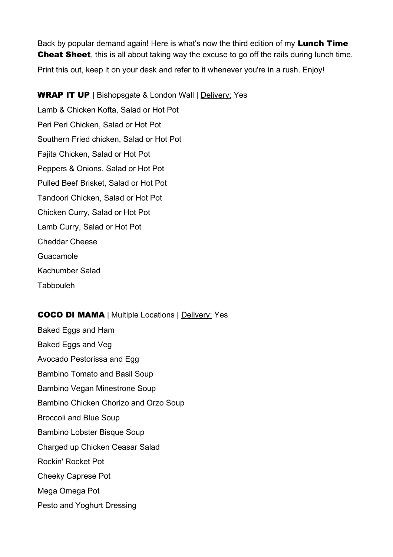Back by popular demand again! Here is what's now the third edition of my Lunch Time **Cheat Sheet**, this is all about taking way the excuse to go off the rails during lunch time. Print this out, keep it on your desk and refer to it whenever you're in a rush. Enjoy!

WRAP IT UP | Bishopsgate & London Wall | Delivery: Yes Lamb & Chicken Kofta, Salad or Hot Pot Peri Peri Chicken, Salad or Hot Pot Southern Fried chicken, Salad or Hot Pot Fajita Chicken, Salad or Hot Pot Peppers & Onions, Salad or Hot Pot Pulled Beef Brisket, Salad or Hot Pot Tandoori Chicken, Salad or Hot Pot Chicken Curry, Salad or Hot Pot Lamb Curry, Salad or Hot Pot Cheddar Cheese Guacamole Kachumber Salad Tabbouleh

### COCO DI MAMA | Multiple Locations | Delivery: Yes

Baked Eggs and Ham Baked Eggs and Veg Avocado Pestorissa and Egg Bambino Tomato and Basil Soup Bambino Vegan Minestrone Soup Bambino Chicken Chorizo and Orzo Soup Broccoli and Blue Soup Bambino Lobster Bisque Soup Charged up Chicken Ceasar Salad Rockin' Rocket Pot Cheeky Caprese Pot Mega Omega Pot Pesto and Yoghurt Dressing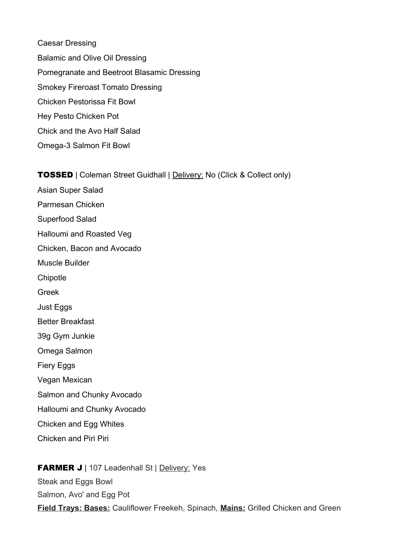Caesar Dressing Balamic and Olive Oil Dressing Pomegranate and Beetroot Blasamic Dressing Smokey Fireroast Tomato Dressing Chicken Pestorissa Fit Bowl Hey Pesto Chicken Pot Chick and the Avo Half Salad Omega-3 Salmon Fit Bowl

TOSSED | Coleman Street Guidhall | Delivery: No (Click & Collect only)

Asian Super Salad Parmesan Chicken Superfood Salad Halloumi and Roasted Veg Chicken, Bacon and Avocado Muscle Builder **Chipotle** Greek Just Eggs Better Breakfast 39g Gym Junkie Omega Salmon Fiery Eggs Vegan Mexican Salmon and Chunky Avocado Halloumi and Chunky Avocado Chicken and Egg Whites Chicken and Piri Piri

FARMER J | 107 Leadenhall St | Delivery: Yes Steak and Eggs Bowl Salmon, Avo' and Egg Pot **Field Trays: Bases:** Cauliflower Freekeh, Spinach, **Mains:** Grilled Chicken and Green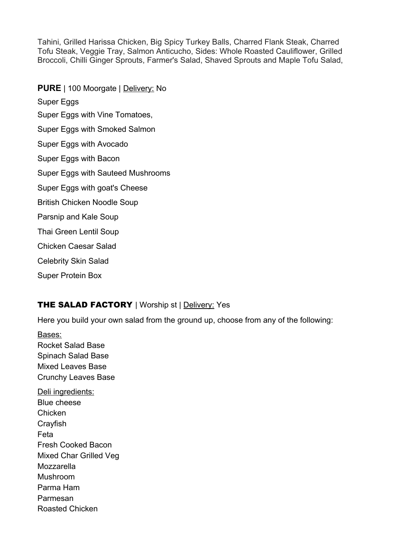Tahini, Grilled Harissa Chicken, Big Spicy Turkey Balls, Charred Flank Steak, Charred Tofu Steak, Veggie Tray, Salmon Anticucho, Sides: Whole Roasted Cauliflower, Grilled Broccoli, Chilli Ginger Sprouts, Farmer's Salad, Shaved Sprouts and Maple Tofu Salad,

**PURE** | 100 Moorgate | Delivery: No Super Eggs Super Eggs with Vine Tomatoes, Super Eggs with Smoked Salmon Super Eggs with Avocado Super Eggs with Bacon Super Eggs with Sauteed Mushrooms Super Eggs with goat's Cheese British Chicken Noodle Soup Parsnip and Kale Soup Thai Green Lentil Soup Chicken Caesar Salad Celebrity Skin Salad

# THE SALAD FACTORY | Worship st | Delivery: Yes

Here you build your own salad from the ground up, choose from any of the following:

Bases: Rocket Salad Base Spinach Salad Base Mixed Leaves Base Crunchy Leaves Base Deli ingredients: Blue cheese **Chicken Crayfish** Feta Fresh Cooked Bacon Mixed Char Grilled Veg Mozzarella Mushroom Parma Ham Parmesan Roasted Chicken

Super Protein Box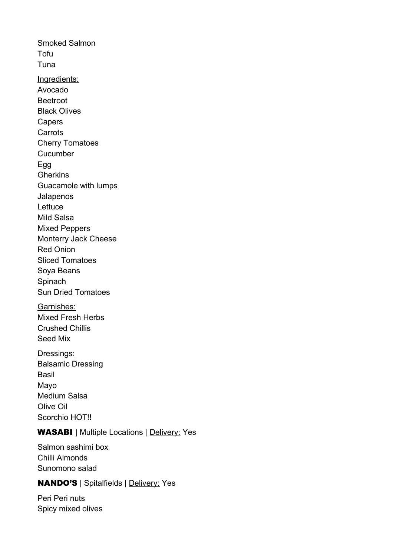Smoked Salmon Tofu Tuna Ingredients: Avocado Beetroot Black Olives Capers **Carrots** Cherry Tomatoes **Cucumber** Egg **Gherkins** Guacamole with lumps Jalapenos **Lettuce** Mild Salsa Mixed Peppers Monterry Jack Cheese Red Onion Sliced Tomatoes Soya Beans **Spinach** Sun Dried Tomatoes Garnishes: Mixed Fresh Herbs Crushed Chillis Seed Mix Dressings: Balsamic Dressing

Basil Mayo Medium Salsa Olive Oil Scorchio HOT!!

# WASABI | Multiple Locations | Delivery: Yes

Salmon sashimi box Chilli Almonds Sunomono salad

### NANDO'S | Spitalfields | Delivery: Yes

Peri Peri nuts Spicy mixed olives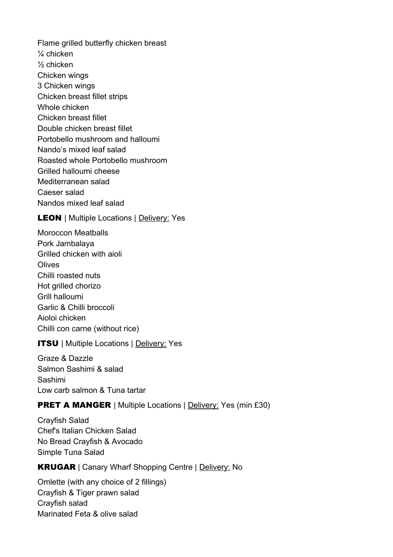Flame grilled butterfly chicken breast ¼ chicken ½ chicken Chicken wings 3 Chicken wings Chicken breast fillet strips Whole chicken Chicken breast fillet Double chicken breast fillet Portobello mushroom and halloumi Nando's mixed leaf salad Roasted whole Portobello mushroom Grilled halloumi cheese Mediterranean salad Caeser salad Nandos mixed leaf salad

**LEON** | Multiple Locations | Delivery: Yes

Moroccon Meatballs Pork Jambalaya Grilled chicken with aioli **Olives** Chilli roasted nuts Hot grilled chorizo Grill halloumi Garlic & Chilli broccoli Aioloi chicken Chilli con carne (without rice)

### **ITSU** | Multiple Locations | Delivery: Yes

Graze & Dazzle Salmon Sashimi & salad Sashimi Low carb salmon & Tuna tartar

## **PRET A MANGER** | Multiple Locations | Delivery: Yes (min £30)

Crayfish Salad Chef's Italian Chicken Salad No Bread Crayfish & Avocado Simple Tuna Salad

KRUGAR | Canary Wharf Shopping Centre | Delivery: No

Omlette (with any choice of 2 fillings) Crayfish & Tiger prawn salad Crayfish salad Marinated Feta & olive salad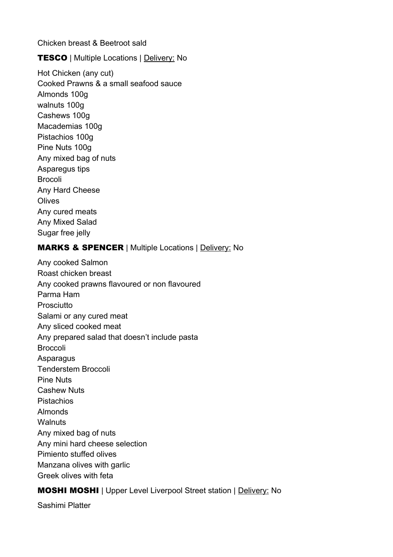Chicken breast & Beetroot sald

**TESCO** | Multiple Locations | Delivery: No

Hot Chicken (any cut) Cooked Prawns & a small seafood sauce Almonds 100g walnuts 100g Cashews 100g Macademias 100g Pistachios 100g Pine Nuts 100g Any mixed bag of nuts Asparegus tips Brocoli Any Hard Cheese **Olives** Any cured meats Any Mixed Salad Sugar free jelly

## MARKS & SPENCER | Multiple Locations | Delivery: No

Any cooked Salmon Roast chicken breast Any cooked prawns flavoured or non flavoured Parma Ham Prosciutto Salami or any cured meat Any sliced cooked meat Any prepared salad that doesn't include pasta Broccoli **Asparagus** Tenderstem Broccoli Pine Nuts Cashew Nuts Pistachios Almonds **Walnuts** Any mixed bag of nuts Any mini hard cheese selection Pimiento stuffed olives Manzana olives with garlic Greek olives with feta

# MOSHI MOSHI | Upper Level Liverpool Street station | Delivery: No

Sashimi Platter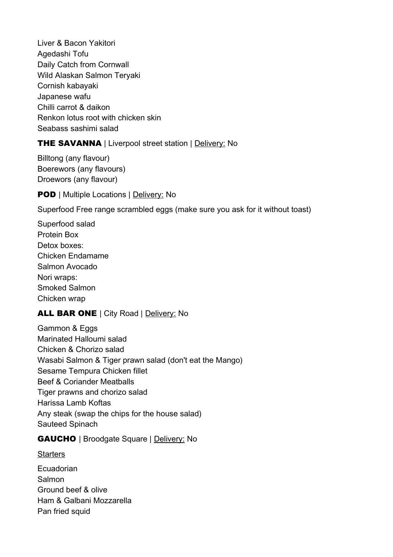Liver & Bacon Yakitori Agedashi Tofu Daily Catch from Cornwall Wild Alaskan Salmon Teryaki Cornish kabayaki Japanese wafu Chilli carrot & daikon Renkon lotus root with chicken skin Seabass sashimi salad

## THE SAVANNA | Liverpool street station | Delivery: No

Billtong (any flavour) Boerewors (any flavours) Droewors (any flavour)

**POD** | Multiple Locations | Delivery: No

Superfood Free range scrambled eggs (make sure you ask for it without toast)

Superfood salad Protein Box Detox boxes: Chicken Endamame Salmon Avocado Nori wraps: Smoked Salmon Chicken wrap

## ALL BAR ONE | City Road | Delivery: No

Gammon & Eggs Marinated Halloumi salad Chicken & Chorizo salad Wasabi Salmon & Tiger prawn salad (don't eat the Mango) Sesame Tempura Chicken fillet Beef & Coriander Meatballs Tiger prawns and chorizo salad Harissa Lamb Koftas Any steak (swap the chips for the house salad) Sauteed Spinach

### GAUCHO | Broodgate Square | Delivery: No

**Starters** 

Ecuadorian Salmon Ground beef & olive Ham & Galbani Mozzarella Pan fried squid